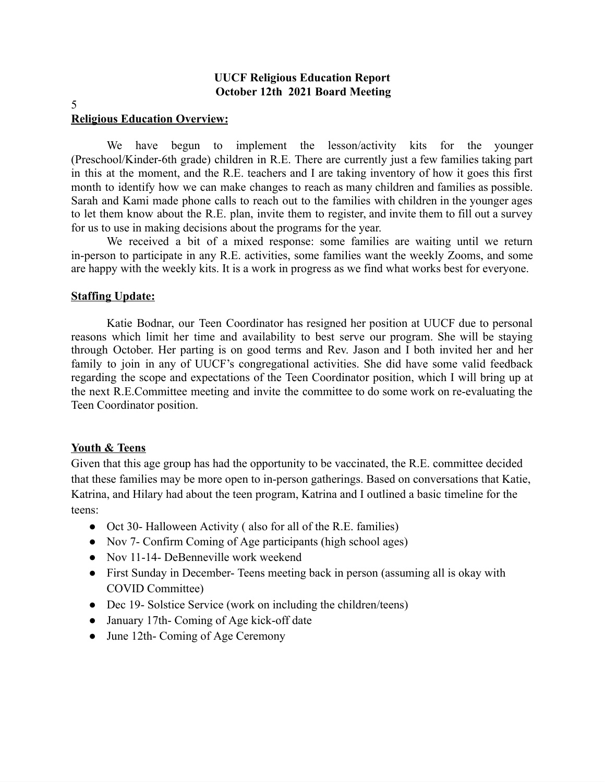# **UUCF Religious Education Report October 12th 2021 Board Meeting**

## 5

### **Religious Education Overview:**

We have begun to implement the lesson/activity kits for the younger (Preschool/Kinder-6th grade) children in R.E. There are currently just a few families taking part in this at the moment, and the R.E. teachers and I are taking inventory of how it goes this first month to identify how we can make changes to reach as many children and families as possible. Sarah and Kami made phone calls to reach out to the families with children in the younger ages to let them know about the R.E. plan, invite them to register, and invite them to fill out a survey for us to use in making decisions about the programs for the year.

We received a bit of a mixed response: some families are waiting until we return in-person to participate in any R.E. activities, some families want the weekly Zooms, and some are happy with the weekly kits. It is a work in progress as we find what works best for everyone.

#### **Staffing Update:**

Katie Bodnar, our Teen Coordinator has resigned her position at UUCF due to personal reasons which limit her time and availability to best serve our program. She will be staying through October. Her parting is on good terms and Rev. Jason and I both invited her and her family to join in any of UUCF's congregational activities. She did have some valid feedback regarding the scope and expectations of the Teen Coordinator position, which I will bring up at the next R.E.Committee meeting and invite the committee to do some work on re-evaluating the Teen Coordinator position.

## **Youth & Teens**

Given that this age group has had the opportunity to be vaccinated, the R.E. committee decided that these families may be more open to in-person gatherings. Based on conversations that Katie, Katrina, and Hilary had about the teen program, Katrina and I outlined a basic timeline for the teens:

- Oct 30- Halloween Activity (also for all of the R.E. families)
- Nov 7- Confirm Coming of Age participants (high school ages)
- Nov 11-14- DeBenneville work weekend
- First Sunday in December- Teens meeting back in person (assuming all is okay with COVID Committee)
- Dec 19- Solstice Service (work on including the children/teens)
- January 17th- Coming of Age kick-off date
- June 12th- Coming of Age Ceremony